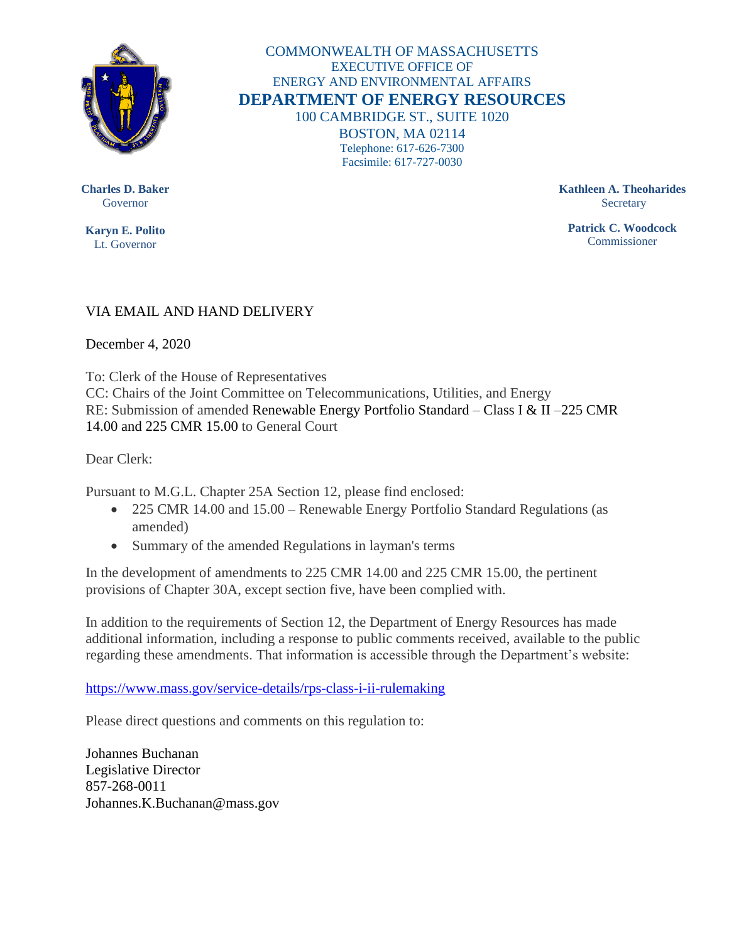

COMMONWEALTH OF MASSACHUSETTS EXECUTIVE OFFICE OF ENERGY AND ENVIRONMENTAL AFFAIRS **DEPARTMENT OF ENERGY RESOURCES** 100 CAMBRIDGE ST., SUITE 1020 BOSTON, MA 02114 Telephone: 617-626-7300 Facsimile: 617-727-0030

**Charles D. Baker** Governor

**Karyn E. Polito** Lt. Governor

**Kathleen A. Theoharides Secretary** 

**Patrick C. Woodcock** Commissioner

## VIA EMAIL AND HAND DELIVERY

December 4, 2020

To: Clerk of the House of Representatives CC: Chairs of the Joint Committee on Telecommunications, Utilities, and Energy RE: Submission of amended Renewable Energy Portfolio Standard – Class I & II –225 CMR 14.00 and 225 CMR 15.00 to General Court

Dear Clerk:

Pursuant to M.G.L. Chapter 25A Section 12, please find enclosed:

- 225 CMR 14.00 and 15.00 Renewable Energy Portfolio Standard Regulations (as amended)
- Summary of the amended Regulations in layman's terms

In the development of amendments to 225 CMR 14.00 and 225 CMR 15.00, the pertinent provisions of Chapter 30A, except section five, have been complied with.

In addition to the requirements of Section 12, the Department of Energy Resources has made additional information, including a response to public comments received, available to the public regarding these amendments. That information is accessible through the Department's website:

<https://www.mass.gov/service-details/rps-class-i-ii-rulemaking>

Please direct questions and comments on this regulation to:

Johannes Buchanan Legislative Director 857-268-0011 Johannes.K.Buchanan@mass.gov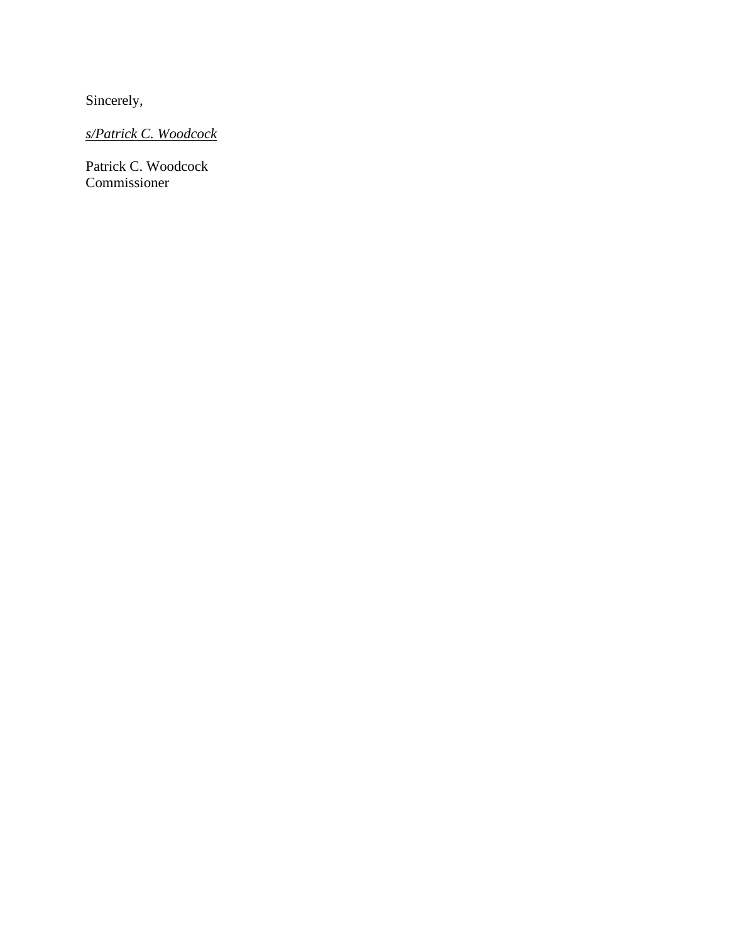Sincerely,

*s/Patrick C. Woodcock*

Patrick C. Woodcock Commissioner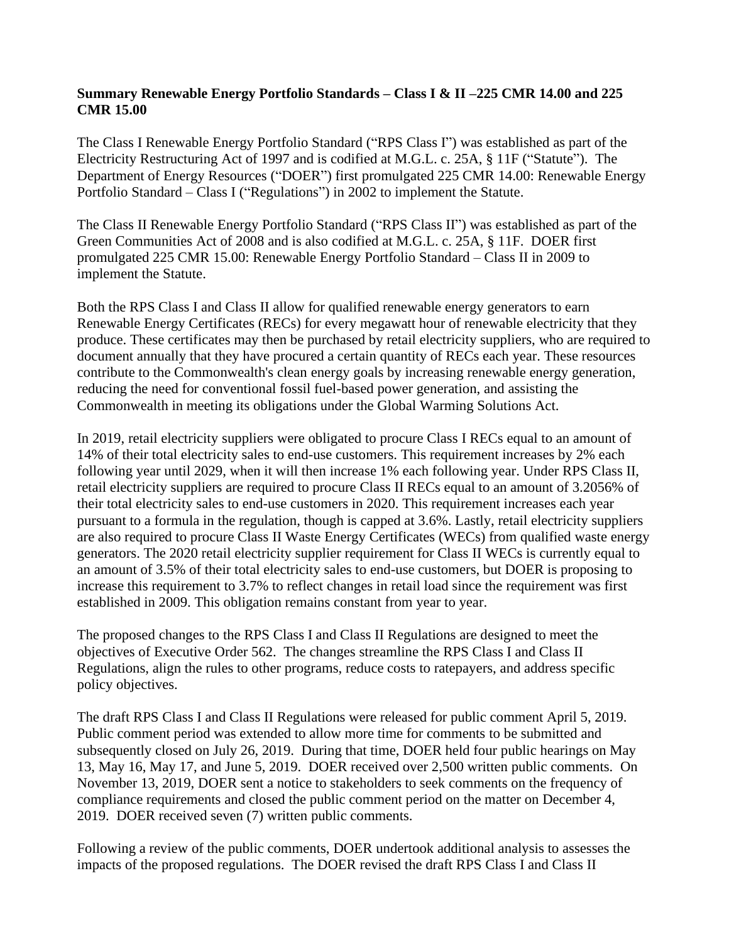## **Summary Renewable Energy Portfolio Standards – Class I & II –225 CMR 14.00 and 225 CMR 15.00**

The Class I Renewable Energy Portfolio Standard ("RPS Class I") was established as part of the Electricity Restructuring Act of 1997 and is codified at M.G.L. c. 25A, § 11F ("Statute"). The Department of Energy Resources ("DOER") first promulgated 225 CMR 14.00: Renewable Energy Portfolio Standard – Class I ("Regulations") in 2002 to implement the Statute.

The Class II Renewable Energy Portfolio Standard ("RPS Class II") was established as part of the Green Communities Act of 2008 and is also codified at M.G.L. c. 25A, § 11F. DOER first promulgated 225 CMR 15.00: Renewable Energy Portfolio Standard – Class II in 2009 to implement the Statute.

Both the RPS Class I and Class II allow for qualified renewable energy generators to earn Renewable Energy Certificates (RECs) for every megawatt hour of renewable electricity that they produce. These certificates may then be purchased by retail electricity suppliers, who are required to document annually that they have procured a certain quantity of RECs each year. These resources contribute to the Commonwealth's clean energy goals by increasing renewable energy generation, reducing the need for conventional fossil fuel-based power generation, and assisting the Commonwealth in meeting its obligations under the Global Warming Solutions Act.

In 2019, retail electricity suppliers were obligated to procure Class I RECs equal to an amount of 14% of their total electricity sales to end-use customers. This requirement increases by 2% each following year until 2029, when it will then increase 1% each following year. Under RPS Class II, retail electricity suppliers are required to procure Class II RECs equal to an amount of 3.2056% of their total electricity sales to end-use customers in 2020. This requirement increases each year pursuant to a formula in the regulation, though is capped at 3.6%. Lastly, retail electricity suppliers are also required to procure Class II Waste Energy Certificates (WECs) from qualified waste energy generators. The 2020 retail electricity supplier requirement for Class II WECs is currently equal to an amount of 3.5% of their total electricity sales to end-use customers, but DOER is proposing to increase this requirement to 3.7% to reflect changes in retail load since the requirement was first established in 2009. This obligation remains constant from year to year.

The proposed changes to the RPS Class I and Class II Regulations are designed to meet the objectives of Executive Order 562. The changes streamline the RPS Class I and Class II Regulations, align the rules to other programs, reduce costs to ratepayers, and address specific policy objectives.

The draft RPS Class I and Class II Regulations were released for public comment April 5, 2019. Public comment period was extended to allow more time for comments to be submitted and subsequently closed on July 26, 2019. During that time, DOER held four public hearings on May 13, May 16, May 17, and June 5, 2019. DOER received over 2,500 written public comments. On November 13, 2019, DOER sent a notice to stakeholders to seek comments on the frequency of compliance requirements and closed the public comment period on the matter on December 4, 2019. DOER received seven (7) written public comments.

Following a review of the public comments, DOER undertook additional analysis to assesses the impacts of the proposed regulations. The DOER revised the draft RPS Class I and Class II